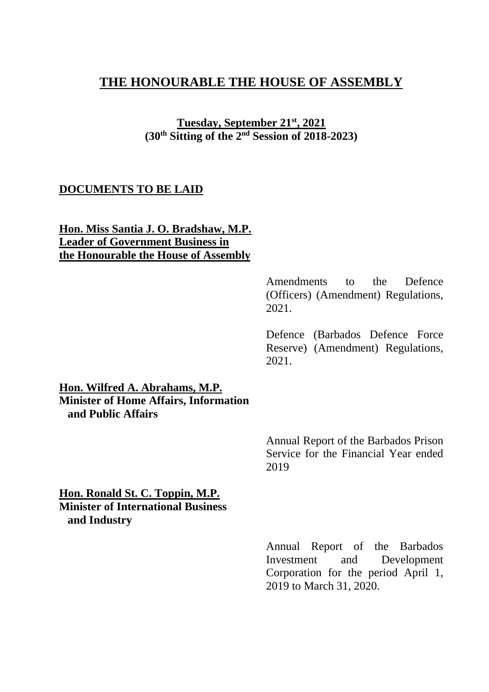## **THE HONOURABLE THE HOUSE OF ASSEMBLY**

**Tuesday, September 21 st, 2021 (30 th Sitting of the 2 nd Session of 2018-2023)**

## **DOCUMENTS TO BE LAID**

**Hon. Miss Santia J. O. Bradshaw, M.P. Leader of Government Business in the Honourable the House of Assembly**

> Amendments to the Defence (Officers) (Amendment) Regulations, 2021.

> Defence (Barbados Defence Force Reserve) (Amendment) Regulations, 2021.

**Hon. Wilfred A. Abrahams, M.P. Minister of Home Affairs, Information and Public Affairs**

> Annual Report of the Barbados Prison Service for the Financial Year ended 2019

**Hon. Ronald St. C. Toppin, M.P. Minister of International Business and Industry** 

> Annual Report of the Barbados Investment and Development Corporation for the period April 1, 2019 to March 31, 2020.